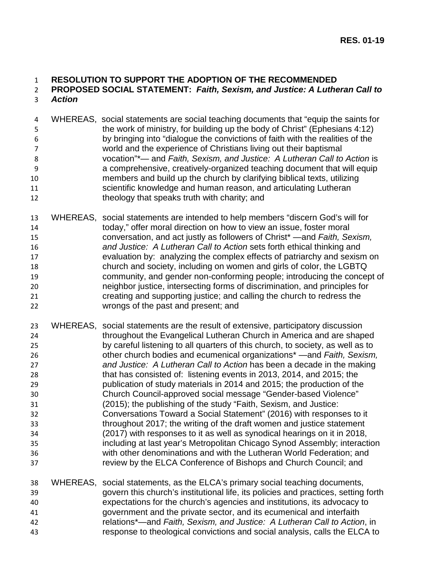## **RESOLUTION TO SUPPORT THE ADOPTION OF THE RECOMMENDED**

## **PROPOSED SOCIAL STATEMENT:** *Faith, Sexism, and Justice: A Lutheran Call to Action*

- WHEREAS, social statements are social teaching documents that "equip the saints for the work of ministry, for building up the body of Christ" (Ephesians 4:12) by bringing into "dialogue the convictions of faith with the realities of the world and the experience of Christians living out their baptismal vocation"\*— and *Faith, Sexism, and Justice: A Lutheran Call to Action* is a comprehensive, creatively-organized teaching document that will equip members and build up the church by clarifying biblical texts, utilizing scientific knowledge and human reason, and articulating Lutheran 12 theology that speaks truth with charity; and
- WHEREAS, social statements are intended to help members "discern God's will for today," offer moral direction on how to view an issue, foster moral conversation, and act justly as followers of Christ\* —and *Faith, Sexism, and Justice: A Lutheran Call to Action* sets forth ethical thinking and evaluation by: analyzing the complex effects of patriarchy and sexism on church and society, including on women and girls of color, the LGBTQ community, and gender non-conforming people; introducing the concept of neighbor justice, intersecting forms of discrimination, and principles for creating and supporting justice; and calling the church to redress the wrongs of the past and present; and
- WHEREAS, social statements are the result of extensive, participatory discussion throughout the Evangelical Lutheran Church in America and are shaped by careful listening to all quarters of this church, to society, as well as to other church bodies and ecumenical organizations\* —and *Faith, Sexism, and Justice: A Lutheran Call to Action* has been a decade in the making that has consisted of: listening events in 2013, 2014, and 2015; the publication of study materials in 2014 and 2015; the production of the Church Council-approved social message "Gender-based Violence" (2015); the publishing of the study "Faith, Sexism, and Justice: Conversations Toward a Social Statement" (2016) with responses to it throughout 2017; the writing of the draft women and justice statement (2017) with responses to it as well as synodical hearings on it in 2018, including at last year's Metropolitan Chicago Synod Assembly; interaction with other denominations and with the Lutheran World Federation; and review by the ELCA Conference of Bishops and Church Council; and

 WHEREAS, social statements, as the ELCA's primary social teaching documents, govern this church's institutional life, its policies and practices, setting forth expectations for the church's agencies and institutions, its advocacy to government and the private sector, and its ecumenical and interfaith relations\*—and *Faith, Sexism, and Justice: A Lutheran Call to Action*, in response to theological convictions and social analysis, calls the ELCA to